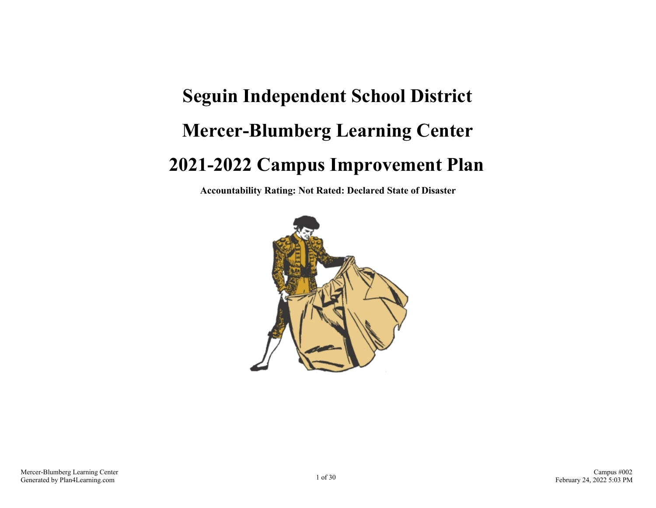# **Seguin Independent School District Mercer-Blumberg Learning Center 2021-2022 Campus Improvement Plan**

**Accountability Rating: Not Rated: Declared State of Disaster**

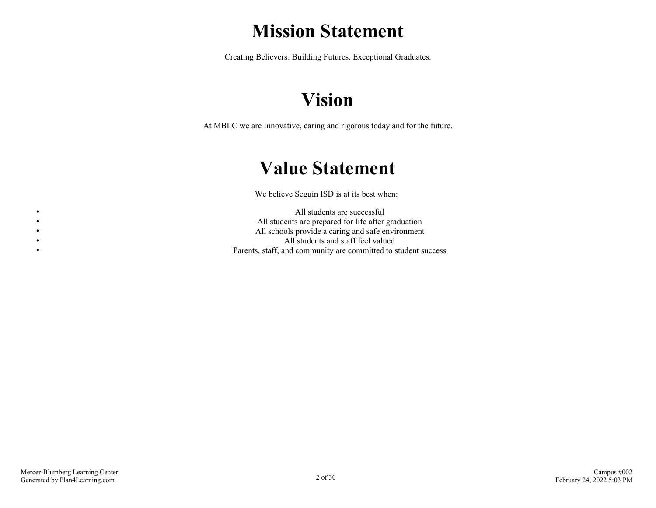# **Mission Statement**

Creating Believers. Building Futures. Exceptional Graduates.

# **Vision**

At MBLC we are Innovative, caring and rigorous today and for the future.

# **Value Statement**

We believe Seguin ISD is at its best when:

All students are successful All students are prepared for life after graduation All schools provide a caring and safe environment All students and staff feel valued Parents, staff, and community are committed to student success

 $\bullet$  $\bullet$  $\bullet$  $\bullet$  $\bullet$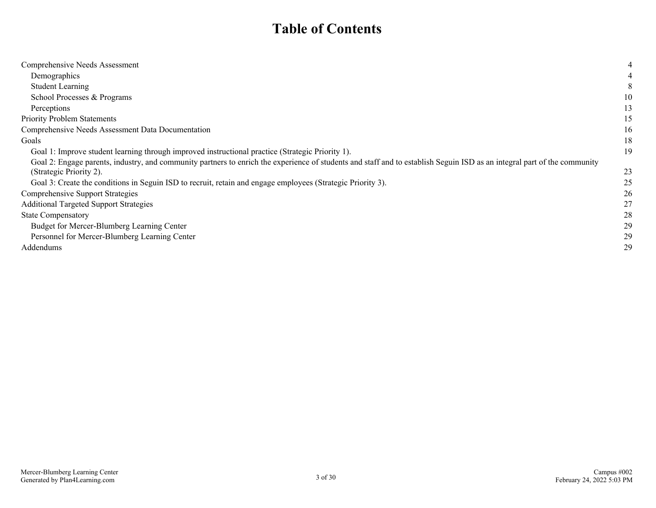# **Table of Contents**

| Comprehensive Needs Assessment                                                                                                                                           | 4  |
|--------------------------------------------------------------------------------------------------------------------------------------------------------------------------|----|
| Demographics                                                                                                                                                             |    |
| <b>Student Learning</b>                                                                                                                                                  | 8  |
| School Processes & Programs                                                                                                                                              | 10 |
| Perceptions                                                                                                                                                              | 13 |
| <b>Priority Problem Statements</b>                                                                                                                                       | 15 |
| Comprehensive Needs Assessment Data Documentation                                                                                                                        | 16 |
| Goals                                                                                                                                                                    | 18 |
| Goal 1: Improve student learning through improved instructional practice (Strategic Priority 1).                                                                         | 19 |
| Goal 2: Engage parents, industry, and community partners to enrich the experience of students and staff and to establish Seguin ISD as an integral part of the community |    |
| (Strategic Priority 2).                                                                                                                                                  | 23 |
| Goal 3: Create the conditions in Seguin ISD to recruit, retain and engage employees (Strategic Priority 3).                                                              | 25 |
| Comprehensive Support Strategies                                                                                                                                         | 26 |
| <b>Additional Targeted Support Strategies</b>                                                                                                                            | 27 |
| <b>State Compensatory</b>                                                                                                                                                | 28 |
| Budget for Mercer-Blumberg Learning Center                                                                                                                               | 29 |
| Personnel for Mercer-Blumberg Learning Center                                                                                                                            | 29 |
| Addendums                                                                                                                                                                | 29 |
|                                                                                                                                                                          |    |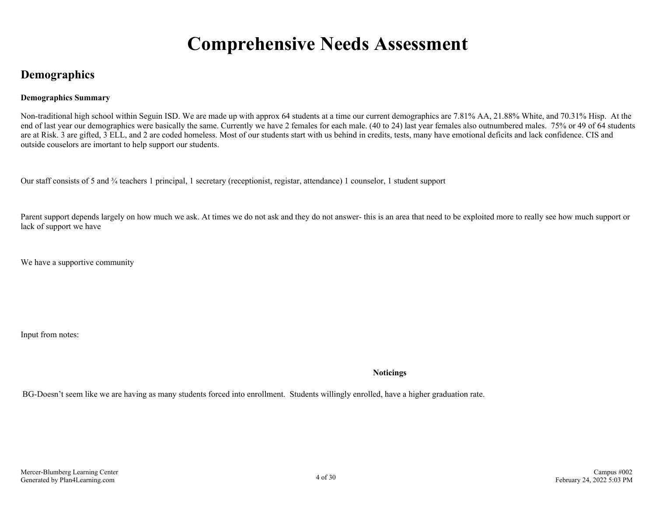# **Comprehensive Needs Assessment**

## <span id="page-3-0"></span>**Demographics**

#### **Demographics Summary**

Non-traditional high school within Seguin ISD. We are made up with approx 64 students at a time our current demographics are 7.81% AA, 21.88% White, and 70.31% Hisp. At the end of last year our demographics were basically the same. Currently we have 2 females for each male. (40 to 24) last year females also outnumbered males. 75% or 49 of 64 students are at Risk. 3 are gifted, 3 ELL, and 2 are coded homeless. Most of our students start with us behind in credits, tests, many have emotional deficits and lack confidence. CIS and outside couselors are imortant to help support our students.

Our staff consists of 5 and ¼ teachers 1 principal, 1 secretary (receptionist, registar, attendance) 1 counselor, 1 student support

Parent support depends largely on how much we ask. At times we do not ask and they do not answer-this is an area that need to be exploited more to really see how much support or lack of support we have

We have a supportive community

Input from notes:

**Noticings Wonderings**

BG-Doesn't seem like we are having as many students forced into enrollment. Students willingly enrolled, have a higher graduation rate.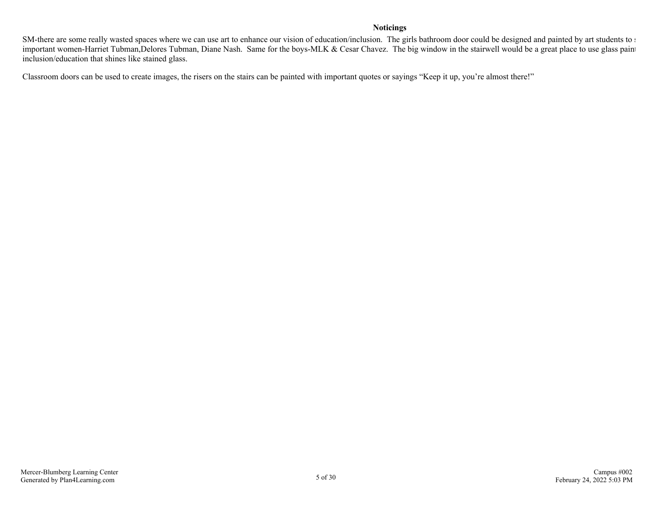### **Noticings Wonderings**

SM-there are some really wasted spaces where we can use art to enhance our vision of education/inclusion. The girls bathroom door could be designed and painted by art students to show. important women-Harriet Tubman,Delores Tubman, Diane Nash. Same for the boys-MLK & Cesar Chavez. The big window in the stairwell would be a great place to use glass paint inclusion/education that shines like stained glass.

Classroom doors can be used to create images, the risers on the stairs can be painted with important quotes or sayings "Keep it up, you're almost there!"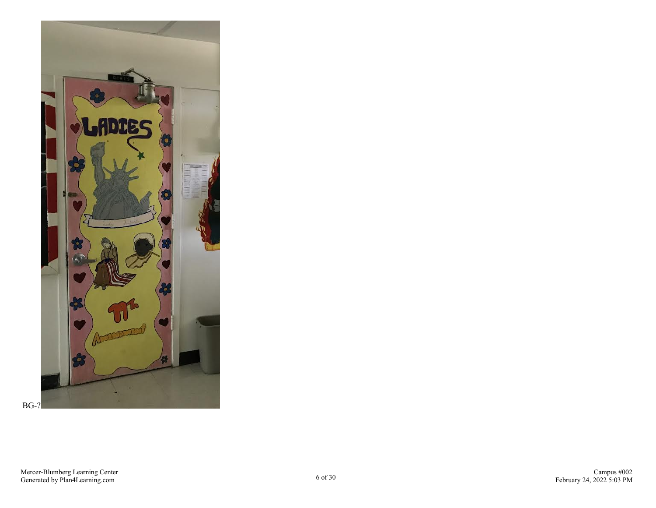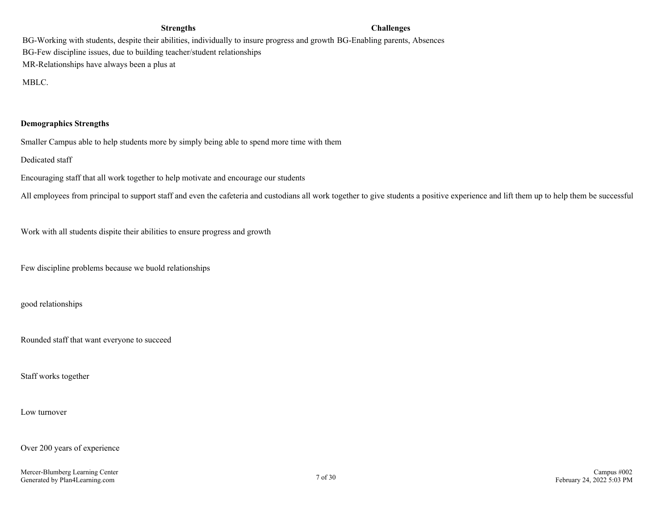#### **Strengths Challenges**

BG-Working with students, despite their abilities, individually to insure progress and growth BG-Enabling parents, Absences BG-Few discipline issues, due to building teacher/student relationships MR-Relationships have always been a plus at

MBLC.

#### **Demographics Strengths**

Smaller Campus able to help students more by simply being able to spend more time with them

#### Dedicated staff

Encouraging staff that all work together to help motivate and encourage our students

All employees from principal to support staff and even the cafeteria and custodians all work together to give students a positive experience and lift them up to help them be successful

Work with all students dispite their abilities to ensure progress and growth

Few discipline problems because we buold relationships

good relationships

Rounded staff that want everyone to succeed

Staff works together

#### Low turnover

Over 200 years of experience

Mercer-Blumberg Learning Center Generated by Plan4Learning.com 7 of 30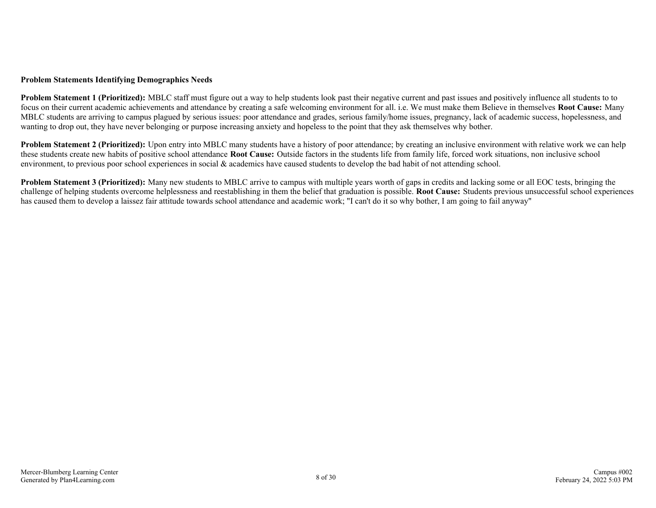#### **Problem Statements Identifying Demographics Needs**

**Problem Statement 1 (Prioritized):** MBLC staff must figure out a way to help students look past their negative current and past issues and positively influence all students to to focus on their current academic achievements and attendance by creating a safe welcoming environment for all. i.e. We must make them Believe in themselves **Root Cause:** Many MBLC students are arriving to campus plagued by serious issues: poor attendance and grades, serious family/home issues, pregnancy, lack of academic success, hopelessness, and wanting to drop out, they have never belonging or purpose increasing anxiety and hopeless to the point that they ask themselves why bother.

**Problem Statement 2 (Prioritized):** Upon entry into MBLC many students have a history of poor attendance; by creating an inclusive environment with relative work we can help these students create new habits of positive school attendance **Root Cause:** Outside factors in the students life from family life, forced work situations, non inclusive school environment, to previous poor school experiences in social & academics have caused students to develop the bad habit of not attending school.

**Problem Statement 3 (Prioritized):** Many new students to MBLC arrive to campus with multiple years worth of gaps in credits and lacking some or all EOC tests, bringing the challenge of helping students overcome helplessness and reestablishing in them the belief that graduation is possible. **Root Cause:** Students previous unsuccessful school experiences has caused them to develop a laissez fair attitude towards school attendance and academic work; "I can't do it so why bother, I am going to fail anyway"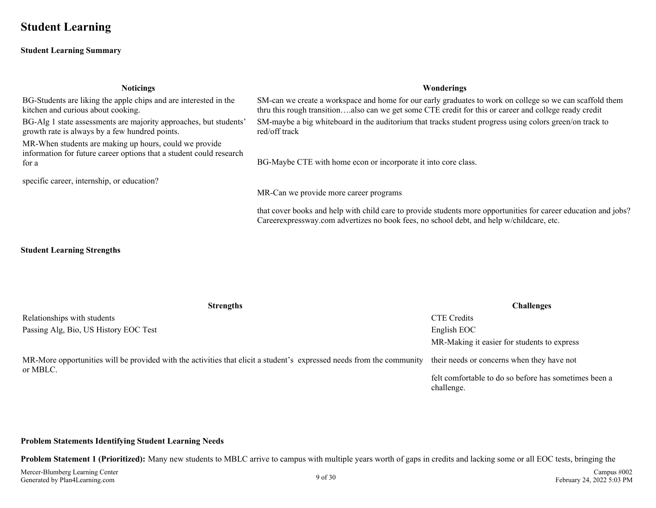## <span id="page-8-0"></span>**Student Learning**

#### **Student Learning Summary**

| <b>Noticings</b>                                                                                                                       | Wonderings                                                                                                                                                                                                        |
|----------------------------------------------------------------------------------------------------------------------------------------|-------------------------------------------------------------------------------------------------------------------------------------------------------------------------------------------------------------------|
| BG-Students are liking the apple chips and are interested in the<br>kitchen and curious about cooking.                                 | SM-can we create a workspace and home for our early graduates to work on college so we can scaffold them<br>thru this rough transitionalso can we get some CTE credit for this or career and college ready credit |
| BG-Alg 1 state assessments are majority approaches, but students'<br>growth rate is always by a few hundred points.                    | SM-maybe a big whiteboard in the auditorium that tracks student progress using colors green/on track to<br>red/off track                                                                                          |
| MR-When students are making up hours, could we provide<br>information for future career options that a student could research<br>for a | BG-Maybe CTE with home econ or incorporate it into core class.                                                                                                                                                    |
| specific career, internship, or education?                                                                                             |                                                                                                                                                                                                                   |
|                                                                                                                                        | MR-Can we provide more career programs                                                                                                                                                                            |
|                                                                                                                                        | that cover books and help with child care to provide students more opportunities for career education and jobs?<br>Careerexpressway.com advertizes no book fees, no school debt, and help w/childcare, etc.       |
|                                                                                                                                        |                                                                                                                                                                                                                   |

#### **Student Learning Strengths**

| <b>Strengths</b>                                                                                                                  | Challenges                                                          |
|-----------------------------------------------------------------------------------------------------------------------------------|---------------------------------------------------------------------|
| Relationships with students                                                                                                       | <b>CTE</b> Credits                                                  |
| Passing Alg, Bio, US History EOC Test                                                                                             | English EOC                                                         |
|                                                                                                                                   | MR-Making it easier for students to express                         |
| MR-More opportunities will be provided with the activities that elicit a student's expressed needs from the community<br>or MBLC. | their needs or concerns when they have not                          |
|                                                                                                                                   | felt comfortable to do so before has sometimes been a<br>challenge. |

#### **Problem Statements Identifying Student Learning Needs**

**Problem Statement 1 (Prioritized):** Many new students to MBLC arrive to campus with multiple years worth of gaps in credits and lacking some or all EOC tests, bringing the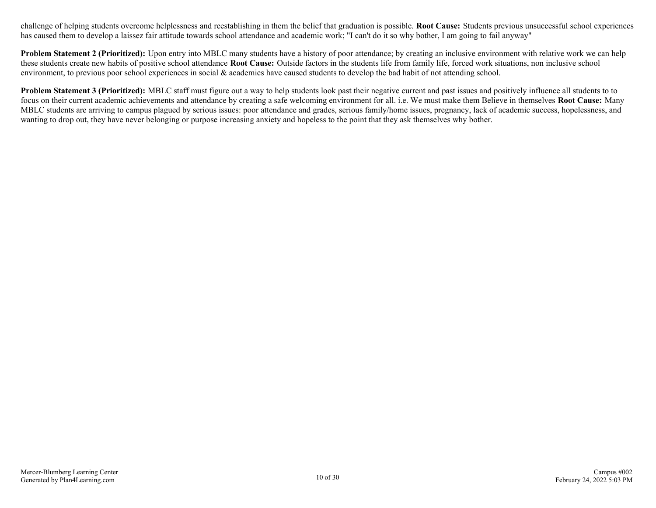challenge of helping students overcome helplessness and reestablishing in them the belief that graduation is possible. **Root Cause:** Students previous unsuccessful school experiences has caused them to develop a laissez fair attitude towards school attendance and academic work; "I can't do it so why bother, I am going to fail anyway"

**Problem Statement 2 (Prioritized):** Upon entry into MBLC many students have a history of poor attendance; by creating an inclusive environment with relative work we can help these students create new habits of positive school attendance **Root Cause:** Outside factors in the students life from family life, forced work situations, non inclusive school environment, to previous poor school experiences in social & academics have caused students to develop the bad habit of not attending school.

**Problem Statement 3 (Prioritized):** MBLC staff must figure out a way to help students look past their negative current and past issues and positively influence all students to to focus on their current academic achievements and attendance by creating a safe welcoming environment for all. i.e. We must make them Believe in themselves **Root Cause:** Many MBLC students are arriving to campus plagued by serious issues: poor attendance and grades, serious family/home issues, pregnancy, lack of academic success, hopelessness, and wanting to drop out, they have never belonging or purpose increasing anxiety and hopeless to the point that they ask themselves why bother.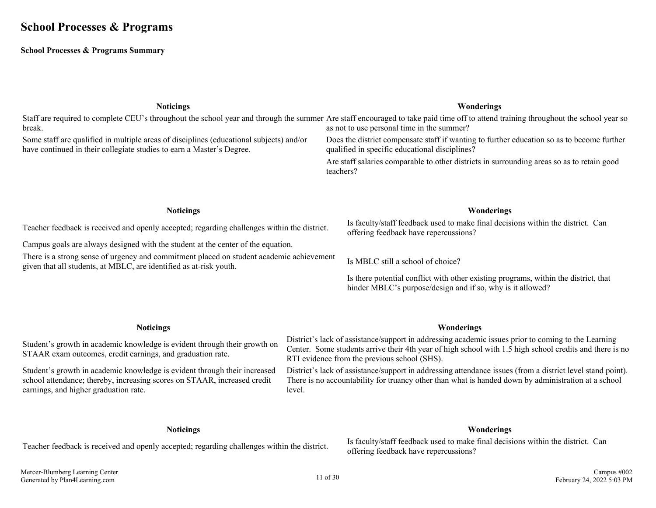## <span id="page-10-0"></span>**School Processes & Programs**

#### **School Processes & Programs Summary**

| <b>Noticings</b>                                                                                                                                                                               |                                                                                                         | Wonderings                                                                                                                                                                                                                                                     |  |
|------------------------------------------------------------------------------------------------------------------------------------------------------------------------------------------------|---------------------------------------------------------------------------------------------------------|----------------------------------------------------------------------------------------------------------------------------------------------------------------------------------------------------------------------------------------------------------------|--|
| break.                                                                                                                                                                                         |                                                                                                         | Staff are required to complete CEU's throughout the school year and through the summer Are staff encouraged to take paid time off to attend training throughout the school year so<br>as not to use personal time in the summer?                               |  |
| Some staff are qualified in multiple areas of disciplines (educational subjects) and/or<br>have continued in their collegiate studies to earn a Master's Degree.                               |                                                                                                         | Does the district compensate staff if wanting to further education so as to become further<br>qualified in specific educational disciplines?                                                                                                                   |  |
|                                                                                                                                                                                                | Are staff salaries comparable to other districts in surrounding areas so as to retain good<br>teachers? |                                                                                                                                                                                                                                                                |  |
| <b>Noticings</b>                                                                                                                                                                               |                                                                                                         | Wonderings                                                                                                                                                                                                                                                     |  |
| Teacher feedback is received and openly accepted; regarding challenges within the district.                                                                                                    |                                                                                                         | Is faculty/staff feedback used to make final decisions within the district. Can<br>offering feedback have repercussions?                                                                                                                                       |  |
| Campus goals are always designed with the student at the center of the equation.                                                                                                               |                                                                                                         |                                                                                                                                                                                                                                                                |  |
| There is a strong sense of urgency and commitment placed on student academic achievement<br>given that all students, at MBLC, are identified as at-risk youth.                                 |                                                                                                         | Is MBLC still a school of choice?                                                                                                                                                                                                                              |  |
|                                                                                                                                                                                                |                                                                                                         | Is there potential conflict with other existing programs, within the district, that<br>hinder MBLC's purpose/design and if so, why is it allowed?                                                                                                              |  |
|                                                                                                                                                                                                |                                                                                                         |                                                                                                                                                                                                                                                                |  |
| <b>Noticings</b>                                                                                                                                                                               |                                                                                                         | Wonderings                                                                                                                                                                                                                                                     |  |
| Student's growth in academic knowledge is evident through their growth on<br>STAAR exam outcomes, credit earnings, and graduation rate.                                                        |                                                                                                         | District's lack of assistance/support in addressing academic issues prior to coming to the Learning<br>Center. Some students arrive their 4th year of high school with 1.5 high school credits and there is no<br>RTI evidence from the previous school (SHS). |  |
| Student's growth in academic knowledge is evident through their increased<br>school attendance; thereby, increasing scores on STAAR, increased credit<br>earnings, and higher graduation rate. | level.                                                                                                  | District's lack of assistance/support in addressing attendance issues (from a district level stand point).<br>There is no accountability for truancy other than what is handed down by administration at a school                                              |  |

#### **Noticings Wonderings**

Teacher feedback is received and openly accepted; regarding challenges within the district. Is faculty/staff feedback used to make final decisions within the district. Can offering feedback have repercussions?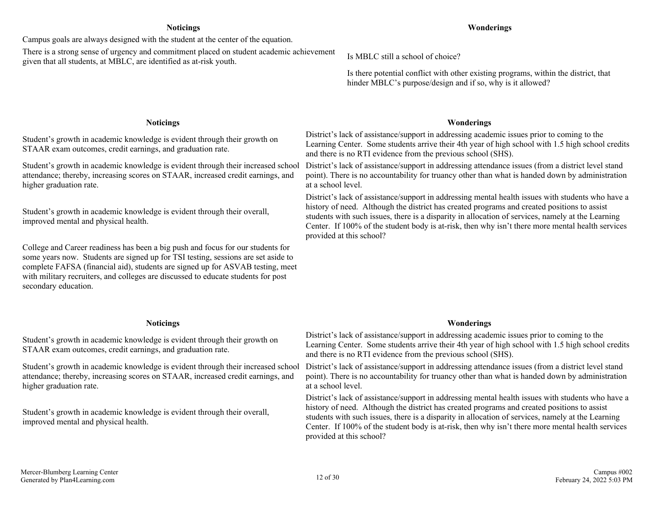#### **Noticings Wonderings**

Campus goals are always designed with the student at the center of the equation.

There is a strong sense of urgency and commitment placed on student academic achievement given that all students, at MBLC, are identified as at-risk youth.<br>Is MBLC still a school of choice?

Is there potential conflict with other existing programs, within the district, that hinder MBLC's purpose/design and if so, why is it allowed?

Student's growth in academic knowledge is evident through their growth on STAAR exam outcomes, credit earnings, and graduation rate.

Student's growth in academic knowledge is evident through their increased school attendance; thereby, increasing scores on STAAR, increased credit earnings, and higher graduation rate.

Student's growth in academic knowledge is evident through their overall, improved mental and physical health.

College and Career readiness has been a big push and focus for our students for some years now. Students are signed up for TSI testing, sessions are set aside to complete FAFSA (financial aid), students are signed up for ASVAB testing, meet with military recruiters, and colleges are discussed to educate students for post secondary education.

Student's growth in academic knowledge is evident through their growth on STAAR exam outcomes, credit earnings, and graduation rate.

Student's growth in academic knowledge is evident through their increased school attendance; thereby, increasing scores on STAAR, increased credit earnings, and higher graduation rate.

Student's growth in academic knowledge is evident through their overall, improved mental and physical health.

## **Noticings Wonderings**

District's lack of assistance/support in addressing academic issues prior to coming to the Learning Center. Some students arrive their 4th year of high school with 1.5 high school credits and there is no RTI evidence from the previous school (SHS).

District's lack of assistance/support in addressing attendance issues (from a district level stand point). There is no accountability for truancy other than what is handed down by administration at a school level.

District's lack of assistance/support in addressing mental health issues with students who have a history of need. Although the district has created programs and created positions to assist students with such issues, there is a disparity in allocation of services, namely at the Learning Center. If 100% of the student body is at-risk, then why isn't there more mental health services provided at this school?

#### **Noticings Wonderings**

District's lack of assistance/support in addressing academic issues prior to coming to the Learning Center. Some students arrive their 4th year of high school with 1.5 high school credits and there is no RTI evidence from the previous school (SHS).

District's lack of assistance/support in addressing attendance issues (from a district level stand point). There is no accountability for truancy other than what is handed down by administration at a school level.

District's lack of assistance/support in addressing mental health issues with students who have a history of need. Although the district has created programs and created positions to assist students with such issues, there is a disparity in allocation of services, namely at the Learning Center. If 100% of the student body is at-risk, then why isn't there more mental health services provided at this school?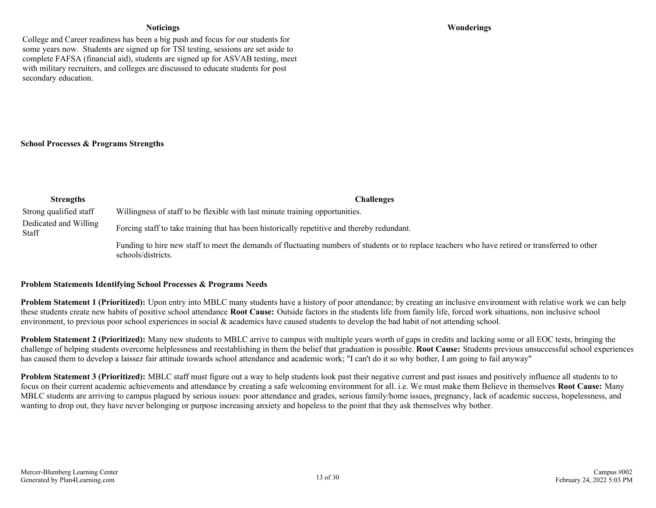College and Career readiness has been a big push and focus for our students for some years now. Students are signed up for TSI testing, sessions are set aside to complete FAFSA (financial aid), students are signed up for ASVAB testing, meet with military recruiters, and colleges are discussed to educate students for post secondary education.

#### **School Processes & Programs Strengths**

| <b>Strengths</b>                      | Challenges                                                                                                                                                             |
|---------------------------------------|------------------------------------------------------------------------------------------------------------------------------------------------------------------------|
| Strong qualified staff                | Willingness of staff to be flexible with last minute training opportunities.                                                                                           |
| Dedicated and Willing<br><b>Staff</b> | Forcing staff to take training that has been historically repetitive and thereby redundant.                                                                            |
|                                       | Funding to hire new staff to meet the demands of fluctuating numbers of students or to replace teachers who have retired or transferred to other<br>schools/districts. |

#### **Problem Statements Identifying School Processes & Programs Needs**

**Problem Statement 1 (Prioritized):** Upon entry into MBLC many students have a history of poor attendance; by creating an inclusive environment with relative work we can help these students create new habits of positive school attendance **Root Cause:** Outside factors in the students life from family life, forced work situations, non inclusive school environment, to previous poor school experiences in social & academics have caused students to develop the bad habit of not attending school.

**Problem Statement 2 (Prioritized):** Many new students to MBLC arrive to campus with multiple years worth of gaps in credits and lacking some or all EOC tests, bringing the challenge of helping students overcome helplessness and reestablishing in them the belief that graduation is possible. **Root Cause:** Students previous unsuccessful school experiences has caused them to develop a laissez fair attitude towards school attendance and academic work; "I can't do it so why bother, I am going to fail anyway"

**Problem Statement 3 (Prioritized):** MBLC staff must figure out a way to help students look past their negative current and past issues and positively influence all students to to focus on their current academic achievements and attendance by creating a safe welcoming environment for all. i.e. We must make them Believe in themselves **Root Cause:** Many MBLC students are arriving to campus plagued by serious issues: poor attendance and grades, serious family/home issues, pregnancy, lack of academic success, hopelessness, and wanting to drop out, they have never belonging or purpose increasing anxiety and hopeless to the point that they ask themselves why bother.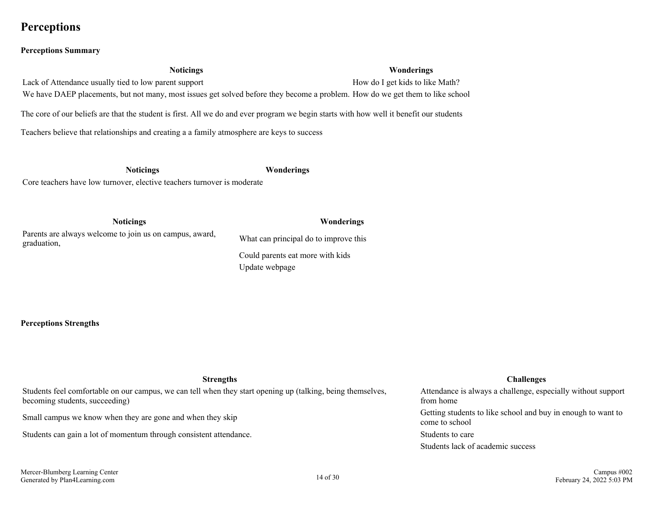Mercer-Blumberg Learning Center

**Perceptions Strengths Strengths Challenges Challenges** 

Students feel comfortable on our campus, we can tell when they start opening up (talking, being themselves, becoming students, succeeding)

Generated by Plan4Learning.com 14 of 30

Students can gain a lot of momentum through consistent attendance. Students to care Students to care

Attendance is always a challenge, especially without support from home Small campus we know when they are gone and when they skip Getting students to like school and buy in enough to want to come to school Students lack of academic success

## **Noticings Wonderings** Lack of Attendance usually tied to low parent support How do I get kids to like Math? We have DAEP placements, but not many, most issues get solved before they become a problem. How do we get them to like school The core of our beliefs are that the student is first. All we do and ever program we begin starts with how well it benefit our students Teachers believe that relationships and creating a a family atmosphere are keys to success

**Noticings Wonderings** Core teachers have low turnover, elective teachers turnover is moderate

**Noticings Wonderings** Parents are always welcome to join us on campus, award, ratellity are always welcome to join as on campus, award,<br>What can principal do to improve this graduation, Update webpage

# Could parents eat more with kids

<span id="page-13-0"></span>**Perceptions**

## **Perceptions Summary**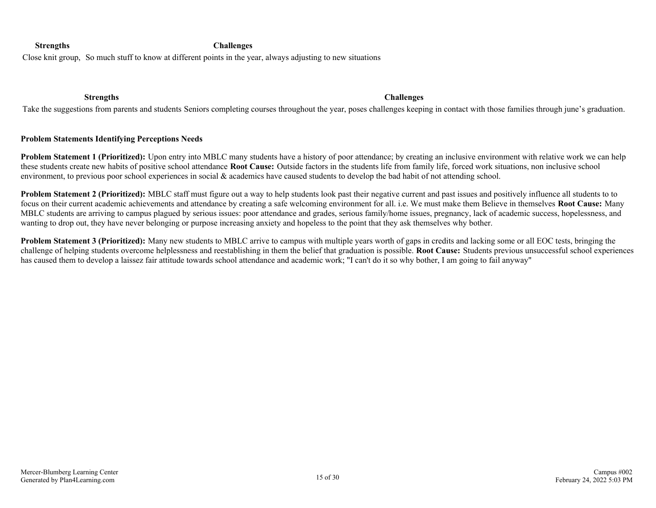**Strengths Challenges**

Close knit group, So much stuff to know at different points in the year, always adjusting to new situations

#### **Strengths Challenges**

Take the suggestions from parents and students Seniors completing courses throughout the year, poses challenges keeping in contact with those families through june's graduation.

#### **Problem Statements Identifying Perceptions Needs**

**Problem Statement 1 (Prioritized):** Upon entry into MBLC many students have a history of poor attendance; by creating an inclusive environment with relative work we can help these students create new habits of positive school attendance **Root Cause:** Outside factors in the students life from family life, forced work situations, non inclusive school environment, to previous poor school experiences in social & academics have caused students to develop the bad habit of not attending school.

**Problem Statement 2 (Prioritized):** MBLC staff must figure out a way to help students look past their negative current and past issues and positively influence all students to to focus on their current academic achievements and attendance by creating a safe welcoming environment for all. i.e. We must make them Believe in themselves **Root Cause:** Many MBLC students are arriving to campus plagued by serious issues: poor attendance and grades, serious family/home issues, pregnancy, lack of academic success, hopelessness, and wanting to drop out, they have never belonging or purpose increasing anxiety and hopeless to the point that they ask themselves why bother.

**Problem Statement 3 (Prioritized):** Many new students to MBLC arrive to campus with multiple years worth of gaps in credits and lacking some or all EOC tests, bringing the challenge of helping students overcome helplessness and reestablishing in them the belief that graduation is possible. **Root Cause:** Students previous unsuccessful school experiences has caused them to develop a laissez fair attitude towards school attendance and academic work; "I can't do it so why bother, I am going to fail anyway"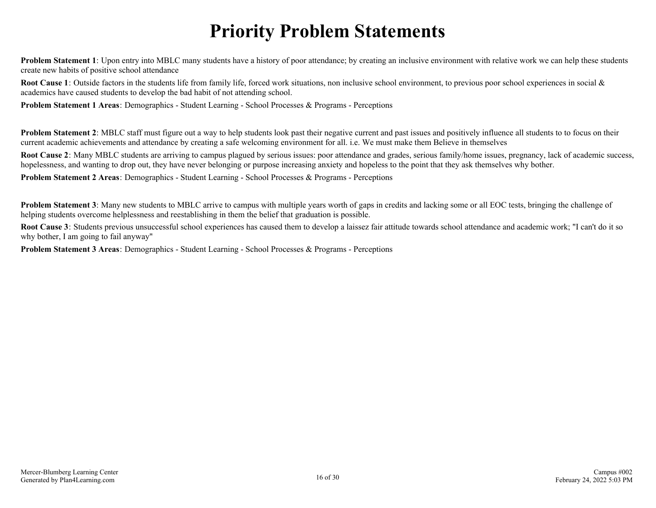# **Priority Problem Statements**

<span id="page-15-0"></span>**Problem Statement 1**: Upon entry into MBLC many students have a history of poor attendance; by creating an inclusive environment with relative work we can help these students create new habits of positive school attendance

**Root Cause 1**: Outside factors in the students life from family life, forced work situations, non inclusive school environment, to previous poor school experiences in social & academics have caused students to develop the bad habit of not attending school.

**Problem Statement 1 Areas**: Demographics - Student Learning - School Processes & Programs - Perceptions

**Problem Statement 2**: MBLC staff must figure out a way to help students look past their negative current and past issues and positively influence all students to to focus on their current academic achievements and attendance by creating a safe welcoming environment for all. i.e. We must make them Believe in themselves

**Root Cause 2**: Many MBLC students are arriving to campus plagued by serious issues: poor attendance and grades, serious family/home issues, pregnancy, lack of academic success, hopelessness, and wanting to drop out, they have never belonging or purpose increasing anxiety and hopeless to the point that they ask themselves why bother.

**Problem Statement 2 Areas**: Demographics - Student Learning - School Processes & Programs - Perceptions

**Problem Statement 3**: Many new students to MBLC arrive to campus with multiple years worth of gaps in credits and lacking some or all EOC tests, bringing the challenge of helping students overcome helplessness and reestablishing in them the belief that graduation is possible.

**Root Cause 3**: Students previous unsuccessful school experiences has caused them to develop a laissez fair attitude towards school attendance and academic work; "I can't do it so why bother, I am going to fail anyway"

**Problem Statement 3 Areas**: Demographics - Student Learning - School Processes & Programs - Perceptions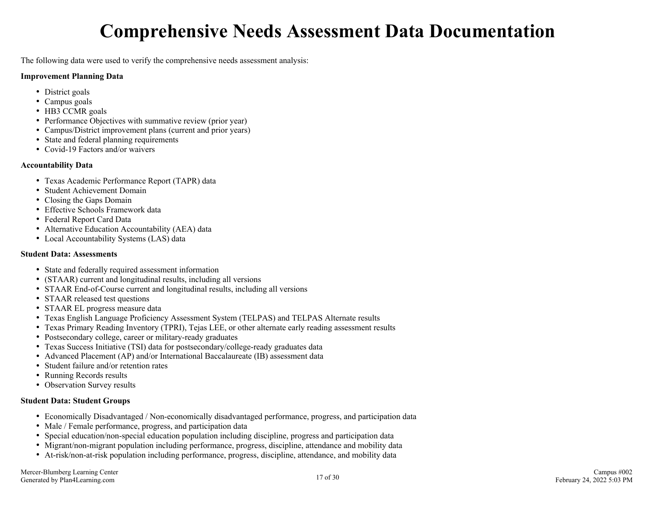# **Comprehensive Needs Assessment Data Documentation**

<span id="page-16-0"></span>The following data were used to verify the comprehensive needs assessment analysis:

#### **Improvement Planning Data**

- District goals
- Campus goals
- HB3 CCMR goals
- Performance Objectives with summative review (prior year)
- Campus/District improvement plans (current and prior years)
- State and federal planning requirements
- Covid-19 Factors and/or waivers

#### **Accountability Data**

- Texas Academic Performance Report (TAPR) data
- Student Achievement Domain
- Closing the Gaps Domain
- Effective Schools Framework data
- Federal Report Card Data
- Alternative Education Accountability (AEA) data
- Local Accountability Systems (LAS) data

#### **Student Data: Assessments**

- State and federally required assessment information
- (STAAR) current and longitudinal results, including all versions
- STAAR End-of-Course current and longitudinal results, including all versions
- STAAR released test questions
- STAAR EL progress measure data
- Texas English Language Proficiency Assessment System (TELPAS) and TELPAS Alternate results
- Texas Primary Reading Inventory (TPRI), Tejas LEE, or other alternate early reading assessment results
- Postsecondary college, career or military-ready graduates
- Texas Success Initiative (TSI) data for postsecondary/college-ready graduates data
- Advanced Placement (AP) and/or International Baccalaureate (IB) assessment data
- Student failure and/or retention rates
- Running Records results
- Observation Survey results

#### **Student Data: Student Groups**

- Economically Disadvantaged / Non-economically disadvantaged performance, progress, and participation data
- Male / Female performance, progress, and participation data
- Special education/non-special education population including discipline, progress and participation data
- Migrant/non-migrant population including performance, progress, discipline, attendance and mobility data
- At-risk/non-at-risk population including performance, progress, discipline, attendance, and mobility data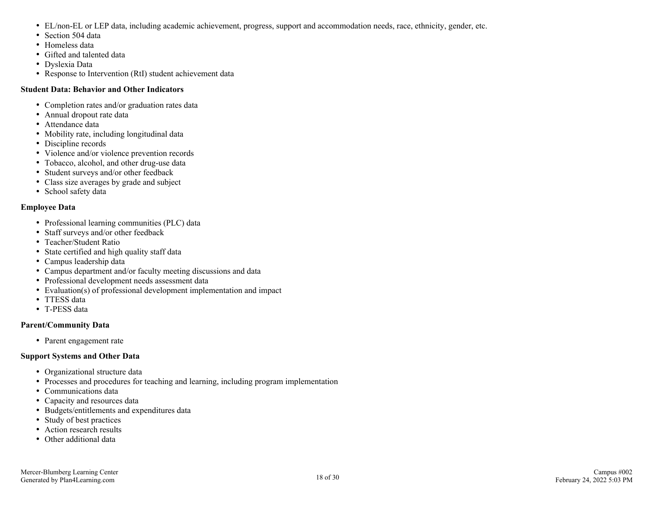- EL/non-EL or LEP data, including academic achievement, progress, support and accommodation needs, race, ethnicity, gender, etc.
- Section 504 data
- Homeless data
- Gifted and talented data
- Dyslexia Data
- Response to Intervention (RtI) student achievement data

#### **Student Data: Behavior and Other Indicators**

- Completion rates and/or graduation rates data
- Annual dropout rate data
- Attendance data
- Mobility rate, including longitudinal data
- Discipline records
- Violence and/or violence prevention records
- Tobacco, alcohol, and other drug-use data
- Student surveys and/or other feedback
- Class size averages by grade and subject
- School safety data

### **Employee Data**

- Professional learning communities (PLC) data
- Staff surveys and/or other feedback
- Teacher/Student Ratio
- State certified and high quality staff data
- Campus leadership data
- Campus department and/or faculty meeting discussions and data
- Professional development needs assessment data
- Evaluation(s) of professional development implementation and impact
- TTESS data
- T-PESS data

## **Parent/Community Data**

• Parent engagement rate

## **Support Systems and Other Data**

- Organizational structure data
- Processes and procedures for teaching and learning, including program implementation
- Communications data
- Capacity and resources data
- Budgets/entitlements and expenditures data
- Study of best practices
- Action research results
- Other additional data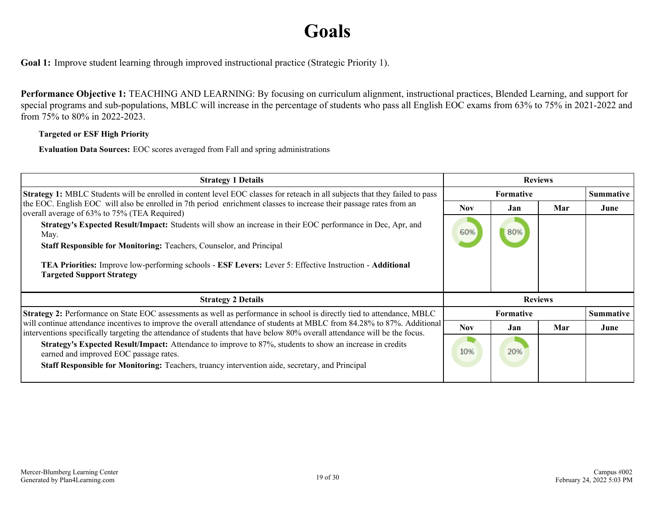# **Goals**

<span id="page-18-0"></span>**Goal 1:** Improve student learning through improved instructional practice (Strategic Priority 1).

**Performance Objective 1:** TEACHING AND LEARNING: By focusing on curriculum alignment, instructional practices, Blended Learning, and support for special programs and sub-populations, MBLC will increase in the percentage of students who pass all English EOC exams from 63% to 75% in 2021-2022 and from 75% to 80% in 2022-2023.

### **Targeted or ESF High Priority**

**Evaluation Data Sources:** EOC scores averaged from Fall and spring administrations

| <b>Strategy 1 Details</b>                                                                                                                                                                                                                             |                  | <b>Reviews</b>   |                |                  |
|-------------------------------------------------------------------------------------------------------------------------------------------------------------------------------------------------------------------------------------------------------|------------------|------------------|----------------|------------------|
| <b>Strategy 1:</b> MBLC Students will be enrolled in content level EOC classes for reteach in all subjects that they failed to pass                                                                                                                   |                  | <b>Formative</b> |                |                  |
| the EOC. English EOC will also be enrolled in 7th period enrichment classes to increase their passage rates from an<br>overall average of 63% to 75% (TEA Required)                                                                                   | <b>Nov</b>       | Jan              | Mar            | June             |
| <b>Strategy's Expected Result/Impact:</b> Students will show an increase in their EOC performance in Dec, Apr, and<br>May.                                                                                                                            | 60%              | 80%              |                |                  |
| <b>Staff Responsible for Monitoring: Teachers, Counselor, and Principal</b>                                                                                                                                                                           |                  |                  |                |                  |
| TEA Priorities: Improve low-performing schools - ESF Levers: Lever 5: Effective Instruction - Additional<br><b>Targeted Support Strategy</b>                                                                                                          |                  |                  |                |                  |
| <b>Strategy 2 Details</b>                                                                                                                                                                                                                             |                  |                  | <b>Reviews</b> |                  |
| Strategy 2: Performance on State EOC assessments as well as performance in school is directly tied to attendance, MBLC                                                                                                                                | <b>Formative</b> |                  |                | <b>Summative</b> |
| will continue attendance incentives to improve the overall attendance of students at MBLC from 84.28% to 87%. Additional<br>interventions specifically targeting the attendance of students that have below 80% overall attendance will be the focus. | <b>Nov</b>       | Jan              | Mar            | June             |
| Strategy's Expected Result/Impact: Attendance to improve to 87%, students to show an increase in credits<br>earned and improved EOC passage rates.                                                                                                    |                  | 20%              |                |                  |
| <b>Staff Responsible for Monitoring:</b> Teachers, truancy intervention aide, secretary, and Principal                                                                                                                                                |                  |                  |                |                  |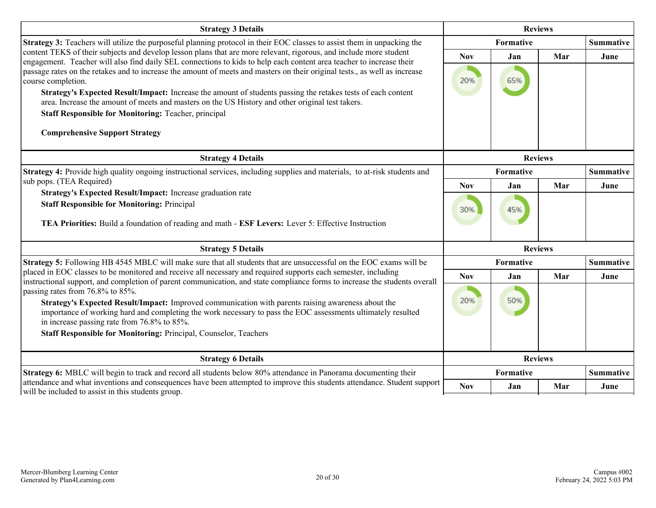| <b>Strategy 3 Details</b>                                                                                                                                                                                                                                         |            |           | <b>Reviews</b> |                  |
|-------------------------------------------------------------------------------------------------------------------------------------------------------------------------------------------------------------------------------------------------------------------|------------|-----------|----------------|------------------|
| <b>Strategy 3:</b> Teachers will utilize the purposeful planning protocol in their EOC classes to assist them in unpacking the                                                                                                                                    | Formative  |           |                | <b>Summative</b> |
| content TEKS of their subjects and develop lesson plans that are more relevant, rigorous, and include more student<br>engagement. Teacher will also find daily SEL connections to kids to help each content area teacher to increase their                        | <b>Nov</b> | Jan       | Mar            | June             |
| passage rates on the retakes and to increase the amount of meets and masters on their original tests., as well as increase<br>course completion.                                                                                                                  | 20%        | 65%       |                |                  |
| Strategy's Expected Result/Impact: Increase the amount of students passing the retakes tests of each content<br>area. Increase the amount of meets and masters on the US History and other original test takers.                                                  |            |           |                |                  |
| <b>Staff Responsible for Monitoring: Teacher, principal</b>                                                                                                                                                                                                       |            |           |                |                  |
| <b>Comprehensive Support Strategy</b>                                                                                                                                                                                                                             |            |           |                |                  |
| <b>Strategy 4 Details</b>                                                                                                                                                                                                                                         |            |           | <b>Reviews</b> |                  |
| Strategy 4: Provide high quality ongoing instructional services, including supplies and materials, to at-risk students and                                                                                                                                        |            | Formative |                |                  |
| sub pops. (TEA Required)                                                                                                                                                                                                                                          | <b>Nov</b> | Jan       | Mar            | June             |
| Strategy's Expected Result/Impact: Increase graduation rate<br><b>Staff Responsible for Monitoring: Principal</b><br>TEA Priorities: Build a foundation of reading and math - ESF Levers: Lever 5: Effective Instruction                                          |            |           |                |                  |
|                                                                                                                                                                                                                                                                   | 30%        | 45%       |                |                  |
| <b>Strategy 5 Details</b>                                                                                                                                                                                                                                         |            |           | <b>Reviews</b> |                  |
| Strategy 5: Following HB 4545 MBLC will make sure that all students that are unsuccessful on the EOC exams will be                                                                                                                                                | Formative  |           |                | <b>Summative</b> |
| placed in EOC classes to be monitored and receive all necessary and required supports each semester, including<br>instructional support, and completion of parent communication, and state compliance forms to increase the students overall                      | <b>Nov</b> | Jan       | Mar            | June             |
| passing rates from 76.8% to 85%.                                                                                                                                                                                                                                  |            |           |                |                  |
| Strategy's Expected Result/Impact: Improved communication with parents raising awareness about the<br>importance of working hard and completing the work necessary to pass the EOC assessments ultimately resulted<br>in increase passing rate from 76.8% to 85%. | 20%        | 50%       |                |                  |
| Staff Responsible for Monitoring: Principal, Counselor, Teachers                                                                                                                                                                                                  |            |           |                |                  |
| <b>Strategy 6 Details</b>                                                                                                                                                                                                                                         |            |           | <b>Reviews</b> |                  |
| Strategy 6: MBLC will begin to track and record all students below 80% attendance in Panorama documenting their                                                                                                                                                   |            | Formative |                | <b>Summative</b> |
| attendance and what inventions and consequences have been attempted to improve this students attendance. Student support<br>will be included to assist in this students group.                                                                                    | <b>Nov</b> | Jan       | Mar            | June             |
|                                                                                                                                                                                                                                                                   |            |           |                |                  |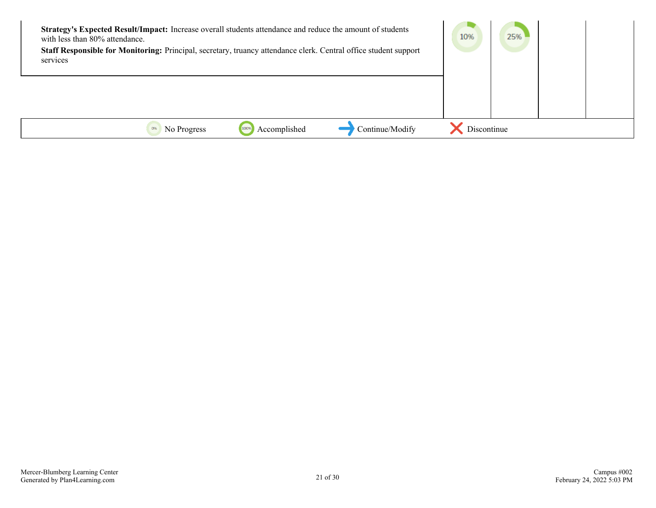| Strategy's Expected Result/Impact: Increase overall students attendance and reduce the amount of students<br>with less than 80% attendance.<br>Staff Responsible for Monitoring: Principal, secretary, truancy attendance clerk. Central office student support<br>services |                             |                 | 10%         | 25% |  |
|-----------------------------------------------------------------------------------------------------------------------------------------------------------------------------------------------------------------------------------------------------------------------------|-----------------------------|-----------------|-------------|-----|--|
|                                                                                                                                                                                                                                                                             |                             |                 |             |     |  |
| 0%                                                                                                                                                                                                                                                                          | Accomplished<br>No Progress | Continue/Modify | Discontinue |     |  |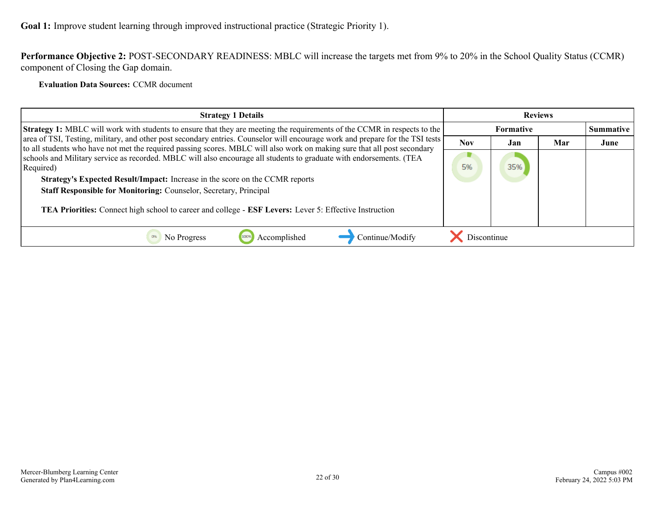**Performance Objective 2:** POST-SECONDARY READINESS: MBLC will increase the targets met from 9% to 20% in the School Quality Status (CCMR) component of Closing the Gap domain.

**Evaluation Data Sources:** CCMR document

| <b>Strategy 1 Details</b>                                                                                                                                                                                                                                                                                                                                                                       | <b>Reviews</b> |           |     |      |
|-------------------------------------------------------------------------------------------------------------------------------------------------------------------------------------------------------------------------------------------------------------------------------------------------------------------------------------------------------------------------------------------------|----------------|-----------|-----|------|
| <b>Strategy 1:</b> MBLC will work with students to ensure that they are meeting the requirements of the CCMR in respects to the                                                                                                                                                                                                                                                                 |                | Summative |     |      |
| area of TSI, Testing, military, and other post secondary entries. Counselor will encourage work and prepare for the TSI tests<br>to all students who have not met the required passing scores. MBLC will also work on making sure that all post secondary                                                                                                                                       | <b>Nov</b>     | Jan       | Mar | June |
| schools and Military service as recorded. MBLC will also encourage all students to graduate with endorsements. (TEA<br>Required)<br>Strategy's Expected Result/Impact: Increase in the score on the CCMR reports<br>Staff Responsible for Monitoring: Counselor, Secretary, Principal<br>TEA Priorities: Connect high school to career and college - ESF Levers: Lever 5: Effective Instruction | 5%             | 35%       |     |      |
| Accomplished<br>Continue/Modify<br>No Progress                                                                                                                                                                                                                                                                                                                                                  | Discontinue    |           |     |      |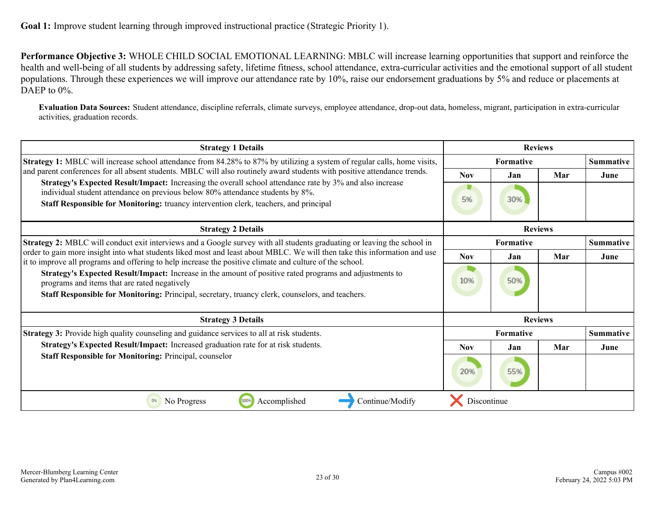**Performance Objective 3:** WHOLE CHILD SOCIAL EMOTIONAL LEARNING: MBLC will increase learning opportunities that support and reinforce the health and well-being of all students by addressing safety, lifetime fitness, school attendance, extra-curricular activities and the emotional support of all student populations. Through these experiences we will improve our attendance rate by 10%, raise our endorsement graduations by 5% and reduce or placements at DAEP to  $0\%$ .

**Evaluation Data Sources:** Student attendance, discipline referrals, climate surveys, employee attendance, drop-out data, homeless, migrant, participation in extra-curricular activities, graduation records.

| <b>Strategy 1 Details</b>                                                                                                                                                                                                             | <b>Reviews</b> |                               |                |                  |
|---------------------------------------------------------------------------------------------------------------------------------------------------------------------------------------------------------------------------------------|----------------|-------------------------------|----------------|------------------|
| Strategy 1: MBLC will increase school attendance from 84.28% to 87% by utilizing a system of regular calls, home visits,                                                                                                              |                | <b>Summative</b><br>Formative |                |                  |
| and parent conferences for all absent students. MBLC will also routinely award students with positive attendance trends.                                                                                                              | <b>Nov</b>     | Jan                           | Mar            | June             |
| Strategy's Expected Result/Impact: Increasing the overall school attendance rate by 3% and also increase<br>individual student attendance on previous below 80% attendance students by 8%.                                            |                |                               |                |                  |
| Staff Responsible for Monitoring: truancy intervention clerk, teachers, and principal                                                                                                                                                 | 5%             | 30%                           |                |                  |
|                                                                                                                                                                                                                                       |                |                               |                |                  |
| <b>Strategy 2 Details</b>                                                                                                                                                                                                             |                |                               | <b>Reviews</b> |                  |
| Strategy 2: MBLC will conduct exit interviews and a Google survey with all students graduating or leaving the school in                                                                                                               |                | Formative                     |                | <b>Summative</b> |
| order to gain more insight into what students liked most and least about MBLC. We will then take this information and use<br>it to improve all programs and offering to help increase the positive climate and culture of the school. | <b>Nov</b>     | Jan                           | Mar            | June             |
| Strategy's Expected Result/Impact: Increase in the amount of positive rated programs and adjustments to                                                                                                                               |                |                               |                |                  |
| programs and items that are rated negatively                                                                                                                                                                                          | 10%            | 50%                           |                |                  |
| Staff Responsible for Monitoring: Principal, secretary, truancy clerk, counselors, and teachers.                                                                                                                                      |                |                               |                |                  |
|                                                                                                                                                                                                                                       |                |                               |                |                  |
| <b>Strategy 3 Details</b>                                                                                                                                                                                                             |                | <b>Reviews</b>                |                |                  |
| <b>Strategy 3:</b> Provide high quality counseling and guidance services to all at risk students.                                                                                                                                     |                | Formative                     |                | Summative        |
| Strategy's Expected Result/Impact: Increased graduation rate for at risk students.                                                                                                                                                    | <b>Nov</b>     | Jan                           | Mar            | June             |
| <b>Staff Responsible for Monitoring: Principal, counselor</b>                                                                                                                                                                         | 20%            | 55%                           |                |                  |
| 0%<br>No Progress<br>1009<br>Accomplished<br>Continue/Modify                                                                                                                                                                          | Discontinue    |                               |                |                  |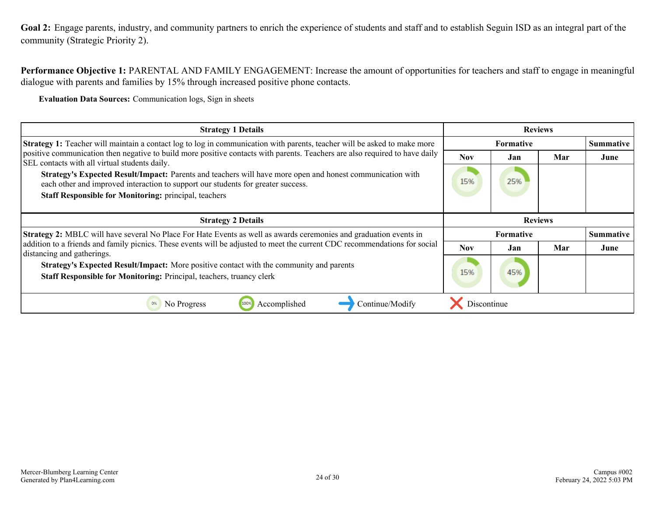<span id="page-23-0"></span>**Goal 2:** Engage parents, industry, and community partners to enrich the experience of students and staff and to establish Seguin ISD as an integral part of the community (Strategic Priority 2).

**Performance Objective 1:** PARENTAL AND FAMILY ENGAGEMENT: Increase the amount of opportunities for teachers and staff to engage in meaningful dialogue with parents and families by 15% through increased positive phone contacts.

**Evaluation Data Sources:** Communication logs, Sign in sheets

| <b>Strategy 1 Details</b>                                                                                                                                                                     | <b>Reviews</b> |                                      |     |      |
|-----------------------------------------------------------------------------------------------------------------------------------------------------------------------------------------------|----------------|--------------------------------------|-----|------|
| <b>Strategy 1:</b> Teacher will maintain a contact log to log in communication with parents, teacher will be asked to make more                                                               |                | <b>Summative</b><br><b>Formative</b> |     |      |
| positive communication then negative to build more positive contacts with parents. Teachers are also required to have daily<br>SEL contacts with all virtual students daily.                  | <b>Nov</b>     | Jan                                  | Mar | June |
| Strategy's Expected Result/Impact: Parents and teachers will have more open and honest communication with<br>each other and improved interaction to support our students for greater success. | 15%            | 25%                                  |     |      |
| <b>Staff Responsible for Monitoring: principal, teachers</b>                                                                                                                                  |                |                                      |     |      |
| <b>Strategy 2 Details</b>                                                                                                                                                                     |                | <b>Reviews</b>                       |     |      |
| Strategy 2: MBLC will have several No Place For Hate Events as well as awards ceremonies and graduation events in                                                                             |                | <b>Summative</b><br><b>Formative</b> |     |      |
| addition to a friends and family picnics. These events will be adjusted to meet the current CDC recommendations for social<br>distancing and gatherings.                                      | <b>Nov</b>     | Jan                                  | Mar | June |
| Strategy's Expected Result/Impact: More positive contact with the community and parents<br>Staff Responsible for Monitoring: Principal, teachers, truancy clerk                               | 15%            | 45%                                  |     |      |
| Continue/Modify<br>No Progress<br>Accomplished<br>0%                                                                                                                                          | Discontinue    |                                      |     |      |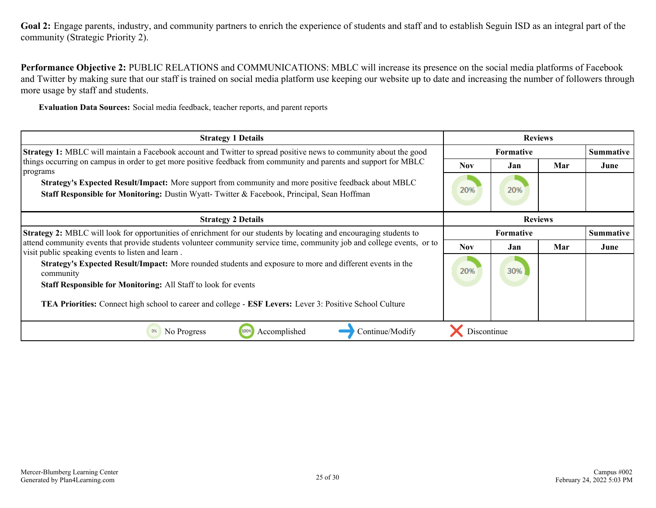Goal 2: Engage parents, industry, and community partners to enrich the experience of students and staff and to establish Seguin ISD as an integral part of the community (Strategic Priority 2).

**Performance Objective 2:** PUBLIC RELATIONS and COMMUNICATIONS: MBLC will increase its presence on the social media platforms of Facebook and Twitter by making sure that our staff is trained on social media platform use keeping our website up to date and increasing the number of followers through more usage by staff and students.

**Evaluation Data Sources:** Social media feedback, teacher reports, and parent reports

| <b>Strategy 1 Details</b>                                                                                                                                                                                                                                                                                  |             | <b>Reviews</b>                       |     |      |
|------------------------------------------------------------------------------------------------------------------------------------------------------------------------------------------------------------------------------------------------------------------------------------------------------------|-------------|--------------------------------------|-----|------|
| <b>Strategy 1:</b> MBLC will maintain a Facebook account and Twitter to spread positive news to community about the good                                                                                                                                                                                   |             | <b>Formative</b>                     |     |      |
| things occurring on campus in order to get more positive feedback from community and parents and support for MBLC<br>programs                                                                                                                                                                              | <b>Nov</b>  | Jan                                  | Mar | June |
| Strategy's Expected Result/Impact: More support from community and more positive feedback about MBLC<br>Staff Responsible for Monitoring: Dustin Wyatt- Twitter & Facebook, Principal, Sean Hoffman                                                                                                        | 20%         | 20%                                  |     |      |
| <b>Strategy 2 Details</b>                                                                                                                                                                                                                                                                                  |             | <b>Reviews</b>                       |     |      |
| <b>Strategy 2:</b> MBLC will look for opportunities of enrichment for our students by locating and encouraging students to<br>attend community events that provide students volunteer community service time, community job and college events, or to<br>visit public speaking events to listen and learn. |             | <b>Summative</b><br><b>Formative</b> |     |      |
|                                                                                                                                                                                                                                                                                                            |             | Jan                                  | Mar | June |
| Strategy's Expected Result/Impact: More rounded students and exposure to more and different events in the<br>community                                                                                                                                                                                     | 20%         | 30%                                  |     |      |
| <b>Staff Responsible for Monitoring: All Staff to look for events</b>                                                                                                                                                                                                                                      |             |                                      |     |      |
| TEA Priorities: Connect high school to career and college - ESF Levers: Lever 3: Positive School Culture                                                                                                                                                                                                   |             |                                      |     |      |
| Continue/Modify<br>No Progress<br>Accomplished                                                                                                                                                                                                                                                             | Discontinue |                                      |     |      |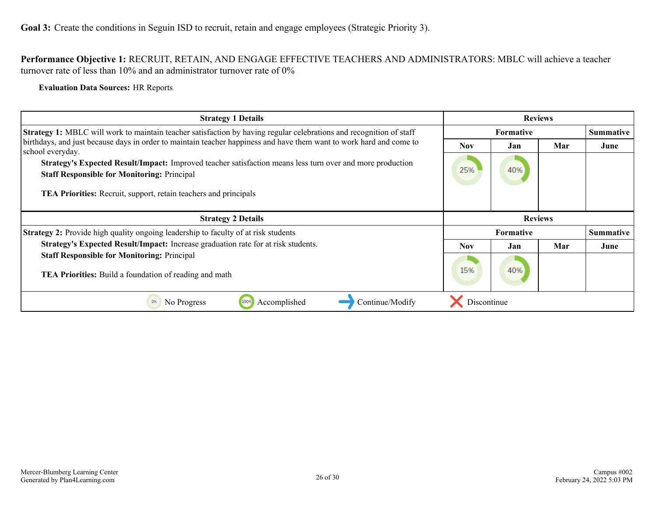<span id="page-25-0"></span>**Performance Objective 1:** RECRUIT, RETAIN, AND ENGAGE EFFECTIVE TEACHERS AND ADMINISTRATORS: MBLC will achieve a teacher turnover rate of less than 10% and an administrator turnover rate of 0%

**Evaluation Data Sources:** HR Reports

| <b>Strategy 1 Details</b>                                                                                                                                                                                                                                                                                                                                                      | <b>Reviews</b>    |                |     |                  |
|--------------------------------------------------------------------------------------------------------------------------------------------------------------------------------------------------------------------------------------------------------------------------------------------------------------------------------------------------------------------------------|-------------------|----------------|-----|------------------|
| <b>Strategy 1:</b> MBLC will work to maintain teacher satisfaction by having regular celebrations and recognition of staff                                                                                                                                                                                                                                                     | <b>Formative</b>  |                |     | <b>Summative</b> |
| birthdays, and just because days in order to maintain teacher happiness and have them want to work hard and come to<br>school everyday.<br>Strategy's Expected Result/Impact: Improved teacher satisfaction means less turn over and more production<br><b>Staff Responsible for Monitoring: Principal</b><br>TEA Priorities: Recruit, support, retain teachers and principals | <b>Nov</b><br>25% | Jan<br>40%     | Mar | June             |
|                                                                                                                                                                                                                                                                                                                                                                                |                   |                |     |                  |
| <b>Strategy 2 Details</b>                                                                                                                                                                                                                                                                                                                                                      |                   | <b>Reviews</b> |     |                  |
| <b>Strategy 2:</b> Provide high quality ongoing leadership to faculty of at risk students                                                                                                                                                                                                                                                                                      |                   | Formative      |     | <b>Summative</b> |
| Strategy's Expected Result/Impact: Increase graduation rate for at risk students.                                                                                                                                                                                                                                                                                              | <b>Nov</b>        | Jan            | Mar | June             |
| <b>Staff Responsible for Monitoring: Principal</b><br><b>TEA Priorities:</b> Build a foundation of reading and math                                                                                                                                                                                                                                                            | 15%               | 40%            |     |                  |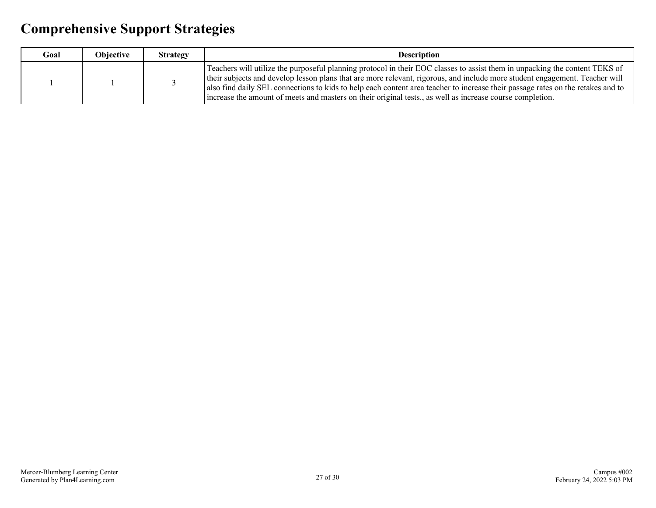# <span id="page-26-0"></span>**Comprehensive Support Strategies**

| Goal | <b>Objective</b> | <b>Strategy</b> | <b>Description</b>                                                                                                                                                                                                                                                                                                                                                                                                                                                                                         |
|------|------------------|-----------------|------------------------------------------------------------------------------------------------------------------------------------------------------------------------------------------------------------------------------------------------------------------------------------------------------------------------------------------------------------------------------------------------------------------------------------------------------------------------------------------------------------|
|      |                  |                 | Teachers will utilize the purposeful planning protocol in their EOC classes to assist them in unpacking the content TEKS of<br>their subjects and develop lesson plans that are more relevant, rigorous, and include more student engagement. Teacher will<br>also find daily SEL connections to kids to help each content area teacher to increase their passage rates on the retakes and to<br>increase the amount of meets and masters on their original tests., as well as increase course completion. |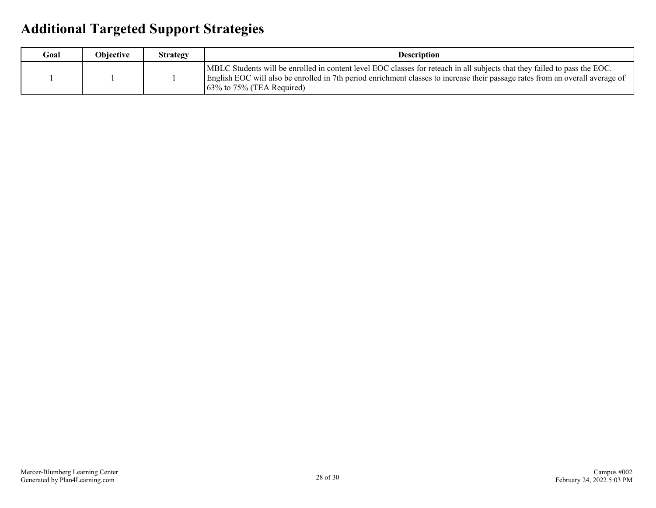# <span id="page-27-0"></span>**Additional Targeted Support Strategies**

| Goal | <b>Objective</b> | <b>Strategy</b> | <b>Description</b>                                                                                                                                                                                                                                                                                        |
|------|------------------|-----------------|-----------------------------------------------------------------------------------------------------------------------------------------------------------------------------------------------------------------------------------------------------------------------------------------------------------|
|      |                  |                 | MBLC Students will be enrolled in content level EOC classes for reteach in all subjects that they failed to pass the EOC.<br>English EOC will also be enrolled in 7th period enrichment classes to increase their passage rates from an overall average of<br>$\frac{163\%}{163\%}$ to 75% (TEA Required) |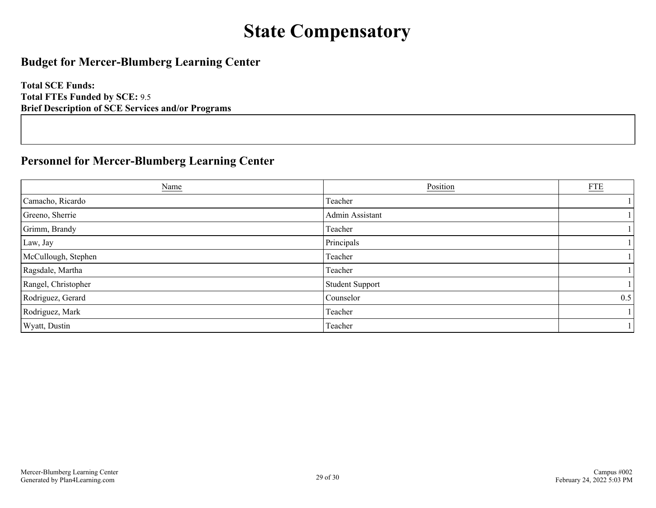# **State Compensatory**

## <span id="page-28-0"></span>**Budget for Mercer-Blumberg Learning Center**

**Total SCE Funds: Total FTEs Funded by SCE:** 9.5 **Brief Description of SCE Services and/or Programs**

## **Personnel for Mercer-Blumberg Learning Center**

| <b>Name</b>         | Position               | ${\underline{\rm FTE}}$ |
|---------------------|------------------------|-------------------------|
| Camacho, Ricardo    | Teacher                |                         |
| Greeno, Sherrie     | Admin Assistant        |                         |
| Grimm, Brandy       | Teacher                |                         |
| Law, Jay            | Principals             |                         |
| McCullough, Stephen | Teacher                |                         |
| Ragsdale, Martha    | Teacher                |                         |
| Rangel, Christopher | <b>Student Support</b> |                         |
| Rodriguez, Gerard   | Counselor              | 0.5                     |
| Rodriguez, Mark     | Teacher                |                         |
| Wyatt, Dustin       | Teacher                |                         |